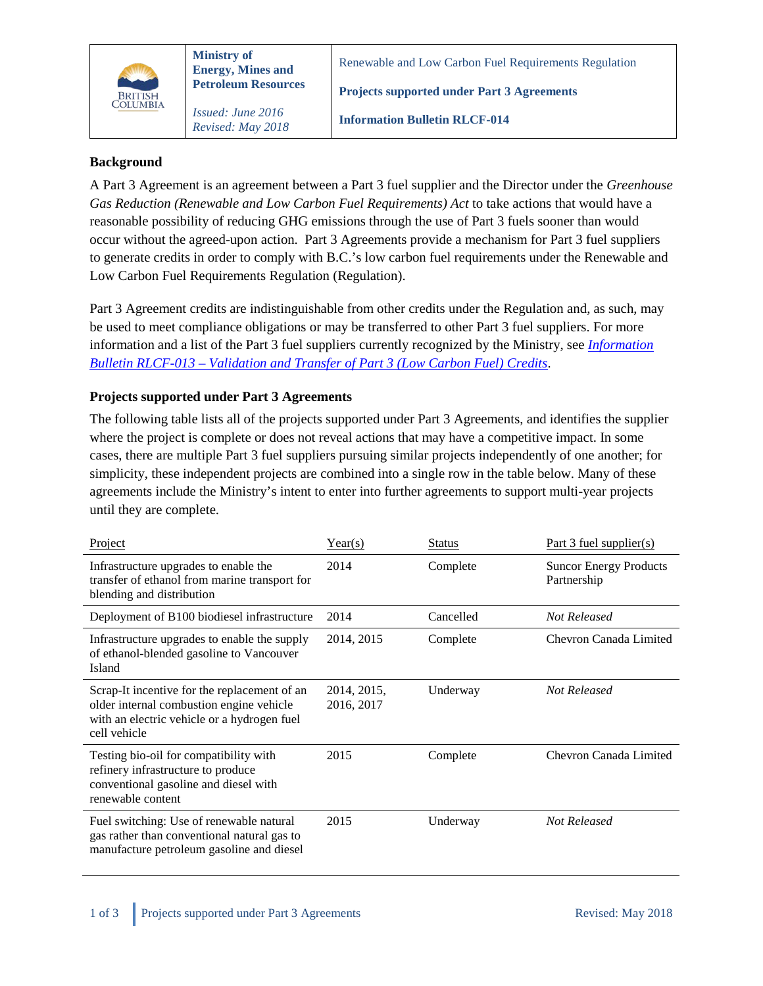

*Revised: May 2018*

Renewable and Low Carbon Fuel Requirements Regulation

**Projects supported under Part 3 Agreements**

**Information Bulletin RLCF-014**

## **Background**

A Part 3 Agreement is an agreement between a Part 3 fuel supplier and the Director under the *Greenhouse Gas Reduction (Renewable and Low Carbon Fuel Requirements) Act* to take actions that would have a reasonable possibility of reducing GHG emissions through the use of Part 3 fuels sooner than would occur without the agreed-upon action. Part 3 Agreements provide a mechanism for Part 3 fuel suppliers to generate credits in order to comply with B.C.'s low carbon fuel requirements under the Renewable and Low Carbon Fuel Requirements Regulation (Regulation).

Part 3 Agreement credits are indistinguishable from other credits under the Regulation and, as such, may be used to meet compliance obligations or may be transferred to other Part 3 fuel suppliers. For more information and a list of the Part 3 fuel suppliers currently recognized by the Ministry, see *[Information](https://www2.gov.bc.ca/assets/gov/farming-natural-resources-and-industry/electricity-alternative-energy/transportation/renewable-low-carbon-fuels/rlcf-013.pdf)  Bulletin RLCF-013 – [Validation and Transfer of Part 3 \(Low Carbon Fuel\)](https://www2.gov.bc.ca/assets/gov/farming-natural-resources-and-industry/electricity-alternative-energy/transportation/renewable-low-carbon-fuels/rlcf-013.pdf) Credits*.

## **Projects supported under Part 3 Agreements**

The following table lists all of the projects supported under Part 3 Agreements, and identifies the supplier where the project is complete or does not reveal actions that may have a competitive impact. In some cases, there are multiple Part 3 fuel suppliers pursuing similar projects independently of one another; for simplicity, these independent projects are combined into a single row in the table below. Many of these agreements include the Ministry's intent to enter into further agreements to support multi-year projects until they are complete.

| Project                                                                                                                                                 | Year(s)                   | <b>Status</b> | Part 3 fuel supplier(s)                      |
|---------------------------------------------------------------------------------------------------------------------------------------------------------|---------------------------|---------------|----------------------------------------------|
| Infrastructure upgrades to enable the<br>transfer of ethanol from marine transport for<br>blending and distribution                                     | 2014                      | Complete      | <b>Suncor Energy Products</b><br>Partnership |
| Deployment of B100 biodiesel infrastructure                                                                                                             | 2014                      | Cancelled     | Not Released                                 |
| Infrastructure upgrades to enable the supply<br>of ethanol-blended gasoline to Vancouver<br>Island                                                      | 2014, 2015                | Complete      | Chevron Canada Limited                       |
| Scrap-It incentive for the replacement of an<br>older internal combustion engine vehicle<br>with an electric vehicle or a hydrogen fuel<br>cell vehicle | 2014, 2015,<br>2016, 2017 | Underway      | Not Released                                 |
| Testing bio-oil for compatibility with<br>refinery infrastructure to produce<br>conventional gasoline and diesel with<br>renewable content              | 2015                      | Complete      | Chevron Canada Limited                       |
| Fuel switching: Use of renewable natural<br>gas rather than conventional natural gas to<br>manufacture petroleum gasoline and diesel                    | 2015                      | Underway      | Not Released                                 |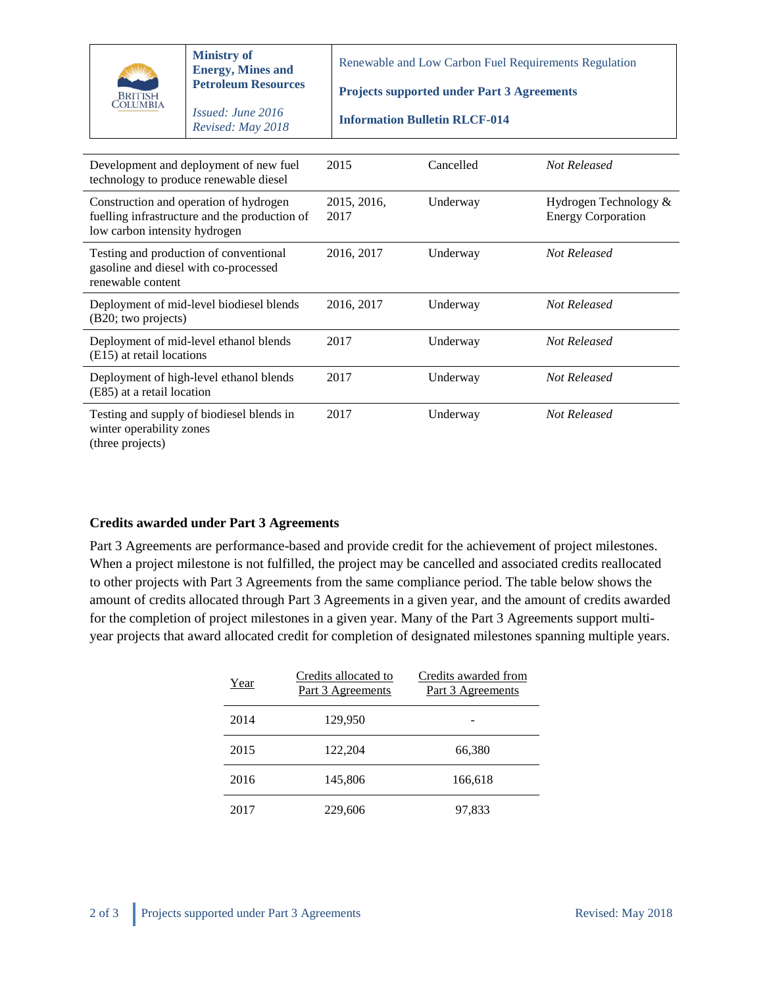| <b>COLUMBIA</b>                                            | <b>Ministry of</b><br><b>Energy, Mines and</b><br><b>Petroleum Resources</b><br><i>Issued: June 2016</i><br>Revised: May 2018 | Renewable and Low Carbon Fuel Requirements Regulation<br><b>Projects supported under Part 3 Agreements</b><br><b>Information Bulletin RLCF-014</b> |           |                                                    |
|------------------------------------------------------------|-------------------------------------------------------------------------------------------------------------------------------|----------------------------------------------------------------------------------------------------------------------------------------------------|-----------|----------------------------------------------------|
|                                                            | Development and deployment of new fuel<br>technology to produce renewable diesel                                              | 2015                                                                                                                                               | Cancelled | Not Released                                       |
| low carbon intensity hydrogen                              | Construction and operation of hydrogen<br>fuelling infrastructure and the production of                                       | 2015, 2016,<br>2017                                                                                                                                | Underway  | Hydrogen Technology &<br><b>Energy Corporation</b> |
| gasoline and diesel with co-processed<br>renewable content | Testing and production of conventional                                                                                        | 2016, 2017                                                                                                                                         | Underway  | Not Released                                       |
| (B20; two projects)                                        | Deployment of mid-level biodiesel blends                                                                                      | 2016, 2017                                                                                                                                         | Underway  | <b>Not Released</b>                                |
| (E15) at retail locations                                  | Deployment of mid-level ethanol blends                                                                                        | 2017                                                                                                                                               | Underway  | Not Released                                       |
| (E85) at a retail location                                 | Deployment of high-level ethanol blends                                                                                       | 2017                                                                                                                                               | Underway  | Not Released                                       |
| winter operability zones<br>(three projects)               | Testing and supply of biodiesel blends in                                                                                     | 2017                                                                                                                                               | Underway  | <b>Not Released</b>                                |

## **Credits awarded under Part 3 Agreements**

Part 3 Agreements are performance-based and provide credit for the achievement of project milestones. When a project milestone is not fulfilled, the project may be cancelled and associated credits reallocated to other projects with Part 3 Agreements from the same compliance period. The table below shows the amount of credits allocated through Part 3 Agreements in a given year, and the amount of credits awarded for the completion of project milestones in a given year. Many of the Part 3 Agreements support multiyear projects that award allocated credit for completion of designated milestones spanning multiple years.

| Year | Credits allocated to<br>Part 3 Agreements | Credits awarded from<br>Part 3 Agreements |
|------|-------------------------------------------|-------------------------------------------|
| 2014 | 129,950                                   |                                           |
| 2015 | 122,204                                   | 66,380                                    |
| 2016 | 145,806                                   | 166,618                                   |
| 2017 | 229,606                                   | 97,833                                    |